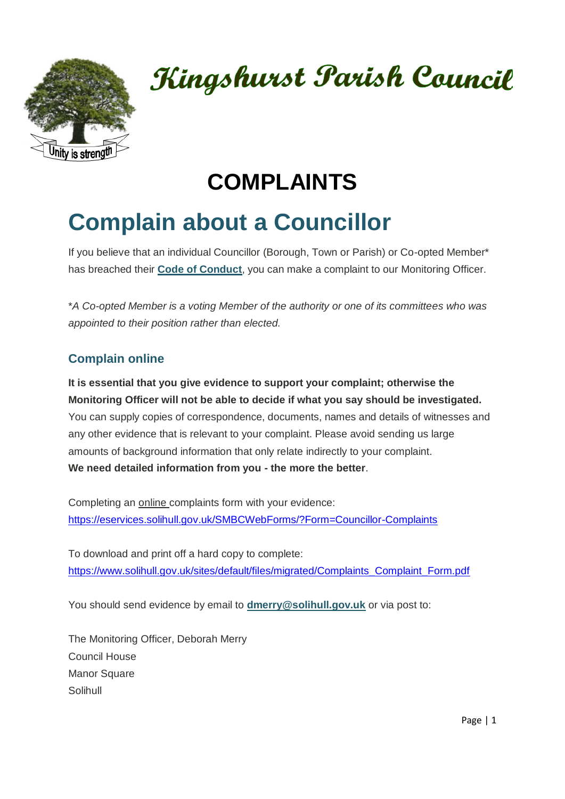

# Kingshurst Parish Council

## **COMPLAINTS**

# **Complain about a Councillor**

If you believe that an individual Councillor (Borough, Town or Parish) or Co-opted Member\* has breached their **[Code of Conduct](https://www.solihull.gov.uk/sites/default/files/migrated/Complaints_CodeofConduct.pdf)**, you can make a complaint to our Monitoring Officer.

\**A Co-opted Member is a voting Member of the authority or one of its committees who was appointed to their position rather than elected.*

### **Complain online**

**It is essential that you give evidence to support your complaint; otherwise the Monitoring Officer will not be able to decide if what you say should be investigated.** You can supply copies of correspondence, documents, names and details of witnesses and any other evidence that is relevant to your complaint. Please avoid sending us large amounts of background information that only relate indirectly to your complaint. **We need detailed information from you - the more the better**.

Completing an online complaints form with your evidence: <https://eservices.solihull.gov.uk/SMBCWebForms/?Form=Councillor-Complaints>

To download and print off a hard copy to complete: [https://www.solihull.gov.uk/sites/default/files/migrated/Complaints\\_Complaint\\_Form.pdf](https://www.solihull.gov.uk/sites/default/files/migrated/Complaints_Complaint_Form.pdf)

You should send evidence by email to **[dmerry@solihull.gov.uk](mailto:dmerry@solihull.gov.uk)** or via post to:

The Monitoring Officer, Deborah Merry Council House Manor Square Solihull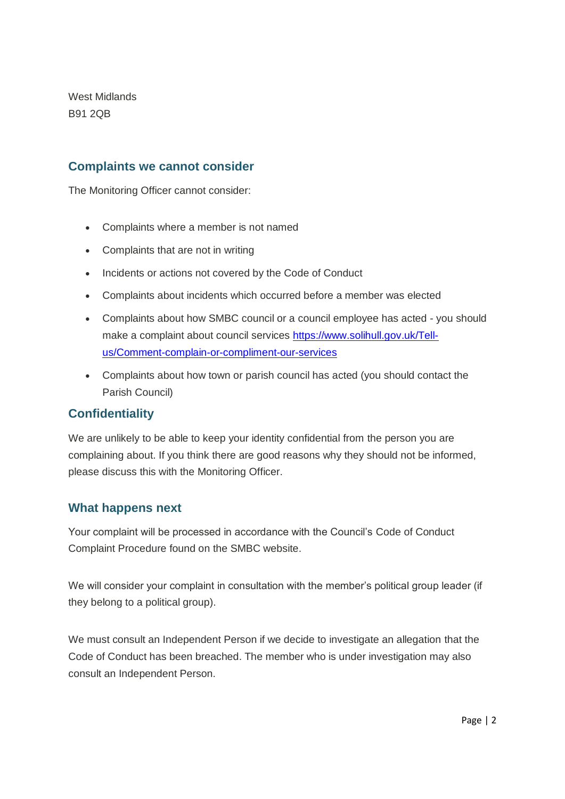West Midlands B91 2QB

#### **Complaints we cannot consider**

The Monitoring Officer cannot consider:

- Complaints where a member is not named
- Complaints that are not in writing
- Incidents or actions not covered by the Code of Conduct
- Complaints about incidents which occurred before a member was elected
- Complaints about how SMBC council or a council employee has acted you should make a complaint about council services [https://www.solihull.gov.uk/Tell](https://www.solihull.gov.uk/Tell-us/Comment-complain-or-compliment-our-services)[us/Comment-complain-or-compliment-our-services](https://www.solihull.gov.uk/Tell-us/Comment-complain-or-compliment-our-services)
- Complaints about how town or parish council has acted (you should contact the Parish Council)

#### **Confidentiality**

We are unlikely to be able to keep your identity confidential from the person you are complaining about. If you think there are good reasons why they should not be informed, please discuss this with the Monitoring Officer.

#### **What happens next**

Your complaint will be processed in accordance with the Council's Code of Conduct Complaint Procedure found on the SMBC website.

We will consider your complaint in consultation with the member's political group leader (if they belong to a political group).

We must consult an Independent Person if we decide to investigate an allegation that the Code of Conduct has been breached. The member who is under investigation may also consult an Independent Person.